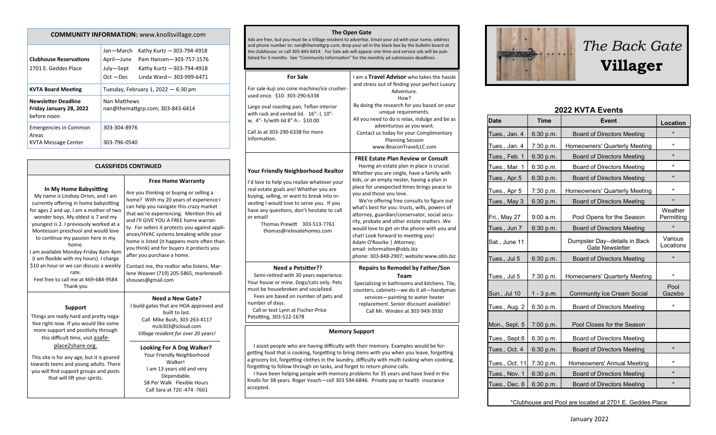| <b>COMMUNITY INFORMATION:</b> www.knollsvillage.com                  |                                                                                                                                                                       |  |  |
|----------------------------------------------------------------------|-----------------------------------------------------------------------------------------------------------------------------------------------------------------------|--|--|
| <b>Clubhouse Reservations</b><br>2701 E. Geddes Place                | Jan-March<br>Kathy Kurtz - 303-794-4918<br>April-June<br>Pam Hansen-303-757-1576<br>July-Sept<br>Kathy Kurtz - 303-794-4918<br>$Oct - Dec$<br>Linda Ward-303-999-6471 |  |  |
| <b>KVTA Board Meeting</b>                                            | Tuesday, February 1, 2022 $-6:30$ pm                                                                                                                                  |  |  |
| <b>Newsletter Deadline</b><br>Friday January 28, 2022<br>before noon | Nan Matthews<br>nan@themattgrp.com; 303-843-6414                                                                                                                      |  |  |
| <b>Emergencies in Common</b><br>Areas<br>KVTA Message Center         | 303-304-8976<br>303-796-0540                                                                                                                                          |  |  |

### **CLASSIFIEDS CONTINUED**

### **In My Home Babysitting**

My name is Lindsey Orren, and I am currently offering in home babysitting for ages 2 and up. I am a mother of two wonder boys. My oldest is 7 and my youngest is 2. I previously worked at a Montessori preschool and would love to continue my passion here in my home. I am available Monday-Friday 8am-4pm (I am flexible with my hours). I charge \$10 an hour or we can discuss a weekly rate. Feel free to call me at 469-684-9584 Thank you

### **Support**

Things are really hard and pretty negative right now. If you would like some more support and positivity through this difficult time, visit asafe-

## place2share.org.

This site is for any age, but it is geared towards teens and young adults. There you will find support groups and posts that will lift your spirits.

### Are you thinking or buying or selling a home? With my 20 years of experience I can help you navigate this crazy market that we're experiencing. Mention this ad and I'll GIVE YOU A FREE home warranty. For sellers it protects you against appliances/HVAC systems breaking while your home is listed (it happens more often than you think) and for buyers it protects you after you purchase a home. Contact me, the realtor who listens, Marlene Weaver (719) 205-5865, marlenesellshouses@gmail.com **Need a New Gate?**

**Free Home Warranty**

# I build gates that are HOA approved and

built to last. Call Mike Bush, 303-263-4117 mcb303@icloud.com *Village resident for over 20 years!*

#### **Looking For A Dog Walker?** Your Friendly Neighborhood Walker! I am 13 years old and very Dependable. \$8 Per Walk Flexible Hours Call Sara at 720 -474 -7661

### **The Open Gate**

Ads are free, but you must be a Village resident to advertise. Email your ad with your name, address and phone number to: nan@themattgrp.com; drop your ad in the black box by the bulletin board at the clubhouse; or call 303-843-6414. For Sale ads will appear one time and service ads will be published for 3 months. See "Community Information" for the monthly ad submission deadlines.

| <b>For Sale</b><br>For sale-kuji sno cone machine/ice crusher-<br>used once. \$10-303-290-6338<br>Large oval roasting pan, Teflon interior<br>with rack and vented lid. 16"-1, 10"-<br>w, 4"- h/with lid 8"-h.- \$10.00<br>Call Jo at 303-290-6338 for more<br>information.                                                                                                                                                                                                                                                                                | I am a Travel Advisor who takes the hassle<br>and stress out of finding your perfect Luxury<br>Adventure.<br>How?<br>By doing the research for you based on your<br>unique requirements.<br>All you need to do is relax, indulge and be as<br>adventurous as you want.<br>Contact us today for your Complimentary<br><b>Planning Session</b><br>www.BeaconTravelLLC.com                                                                                                                                                                                                                                                                                 |  |
|------------------------------------------------------------------------------------------------------------------------------------------------------------------------------------------------------------------------------------------------------------------------------------------------------------------------------------------------------------------------------------------------------------------------------------------------------------------------------------------------------------------------------------------------------------|---------------------------------------------------------------------------------------------------------------------------------------------------------------------------------------------------------------------------------------------------------------------------------------------------------------------------------------------------------------------------------------------------------------------------------------------------------------------------------------------------------------------------------------------------------------------------------------------------------------------------------------------------------|--|
| Your Friendly Neighborhood Realtor<br>I'd love to help you realize whatever your<br>real estate goals are! Whether you are<br>buying, selling, or want to break into in-<br>vesting I would love to serve you. If you<br>have any questions, don't hesitate to call<br>or email!<br>Thomas Prewitt 303-513-7761<br>thomas@relevatehomes.com                                                                                                                                                                                                                | <b>FREE Estate Plan Review or Consult</b><br>Having an estate plan in place is crucial.<br>Whether you are single, have a family with<br>kids, or an empty nester, having a plan in<br>place for unexpected times brings peace to<br>you and those you love.<br>We're offering free consults to figure out<br>what's best for you: trusts, wills, powers of<br>attorney, guardian/conservator, social secu-<br>rity, probate and other estate matters. We<br>would love to get on the phone with you and<br>chat! Look forward to meeting you!<br>Adam O'Rourke   Attorney;<br>email: information@obls.biz<br>phone: 303-848-2907; website:www.obls.biz |  |
| <b>Need a Petsitter??</b><br>Semi-retired with 30 years experience.<br>Your house or mine. Dogs/cats only. Pets<br>must be housebroken and socialized.<br>Fees are based on number of pets and<br>number of days.<br>Call or text Lynn at Fischer-Price<br>Petsitting, 303-522-1678                                                                                                                                                                                                                                                                        | <b>Repairs to Remodel by Father/Son</b><br>Team<br>Specializing in bathrooms and kitchens. Tile,<br>counters, cabinets-we do it all-handyman<br>services-painting to water heater<br>replacement. Senior discount available!<br>Call Mr. Winden at 303-949-3930                                                                                                                                                                                                                                                                                                                                                                                         |  |
| <b>Memory Support</b>                                                                                                                                                                                                                                                                                                                                                                                                                                                                                                                                      |                                                                                                                                                                                                                                                                                                                                                                                                                                                                                                                                                                                                                                                         |  |
| I assist people who are having difficulty with their memory. Examples would be for-<br>getting food that is cooking, forgetting to bring items with you when you leave, forgetting<br>a grocery list, forgetting clothes in the laundry, difficulty with multi-tasking when cooking,<br>forgetting to follow through on tasks, and forget to return phone calls.<br>I have been helping people with memory problems for 35 years and have lived in the<br>Knolls for 38 years. Roger Veach-cell 303 594-6846. Private pay or health insurance<br>accepted. |                                                                                                                                                                                                                                                                                                                                                                                                                                                                                                                                                                                                                                                         |  |



# *The Back Gate*  **Villager**

# **2022 KVTA Events**

| <b>Date</b>                                             | <b>Time</b>  | Event                                                   | Location              |
|---------------------------------------------------------|--------------|---------------------------------------------------------|-----------------------|
| Tues., Jan. 4                                           | 6:30 p.m.    | <b>Board of Directors Meeting</b>                       | $\star$               |
| Tues., Jan. 4                                           | 7:30 p.m.    | Homeowners' Quarterly Meeting                           | $^{\star}$            |
| Tues., Feb. 1                                           | 6:30 p.m.    | <b>Board of Directors Meeting</b>                       | $\star$               |
| Tues., Mar. 1                                           | 6:30 p.m.    | <b>Board of Directors Meeting</b>                       | $\star$               |
| Tues., Apr.5                                            | 6:30 p.m.    | <b>Board of Directors Meeting</b>                       | $\star$               |
| Tues., Apr 5                                            | 7:30 p.m.    | Homeowners' Quarterly Meeting                           | $\star$               |
| Tues., May 3                                            | 6:30 p.m.    | <b>Board of Directors Meeting</b>                       | $\star$               |
| Fri., May 27                                            | 9:00 a.m.    | Pool Opens for the Season                               | Weather<br>Permitting |
| Tues., Jun 7                                            | 6:30 p.m.    | <b>Board of Directors Meeting</b>                       |                       |
| Sat., June 11                                           |              | Dumpster Day--details in Back<br><b>Gate Newsletter</b> | Various<br>Locations  |
| Tues., Jul 5                                            | 6:30 p.m.    | <b>Board of Directors Meeting</b>                       | $\star$               |
| Tues., Jul 5                                            | 7:30 p.m.    | Homeowners' Quarterly Meeting                           | $\star$               |
| Sun., Jul 10                                            | $1 - 3 p.m.$ | <b>Community Ice Cream Social</b>                       | Pool<br>Gazebo        |
| Tues., Aug. 2                                           | 6:30 p.m.    | Board of Directors Meeting                              | $\star$               |
| Mon., Sept. 5                                           | 7:00 p.m.    | Pool Closes for the Season                              |                       |
| Tues., Sept.6                                           | 6:30 p.m.    | Board of Directors Meeting                              |                       |
| Tues., Oct. 4                                           | 6:30 p.m.    | <b>Board of Directors Meeting</b>                       | $\star$               |
| Tues., Oct. 11                                          | 7:30 p.m.    | Homeowners' Annual Meeting                              | $\star$               |
| Tues., Nov. 1                                           | 6:30 p.m.    | <b>Board of Directors Meeting</b>                       | $\star$               |
| Tues., Dec. 6                                           | 6:30 p.m.    | <b>Board of Directors Meeting</b>                       | $\star$               |
| *Clubhouse and Pool are located at 2701 E. Geddes Place |              |                                                         |                       |